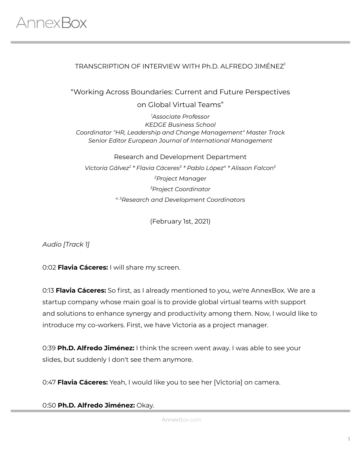#### TRANSCRIPTION OF INTERVIEW WITH Ph.D. ALFREDO JIMÉNEZ 1

"Working Across Boundaries: Current and Future Perspectives

on Global Virtual Teams"

*<sup>1</sup>Associate Professor KEDGE Business School Coordinator "HR, Leadership and Change Management" Master Track Senior Editor European Journal of International Management*

Research and Development Department *Victoria Gálvez 2 \* Flavia Cáceres 3 \* Pablo López 4 \* Alisson Falcon 5 <sup>2</sup>Project Manager <sup>3</sup>Project Coordinator 4, <sup>5</sup>Research and Development Coordinators*

(February 1st, 2021)

*Audio [Track 1]*

0:02 **Flavia Cáceres:** I will share my screen.

0:13 **Flavia Cáceres:** So first, as I already mentioned to you, we're AnnexBox. We are a startup company whose main goal is to provide global virtual teams with support and solutions to enhance synergy and productivity among them. Now, I would like to introduce my co-workers. First, we have Victoria as a project manager.

0:39 **Ph.D. Alfredo Jiménez:** I think the screen went away. I was able to see your slides, but suddenly I don't see them anymore.

0:47 **Flavia Cáceres:** Yeah, I would like you to see her [Victoria] on camera.

#### 0:50 **Ph.D. Alfredo Jiménez:** Okay.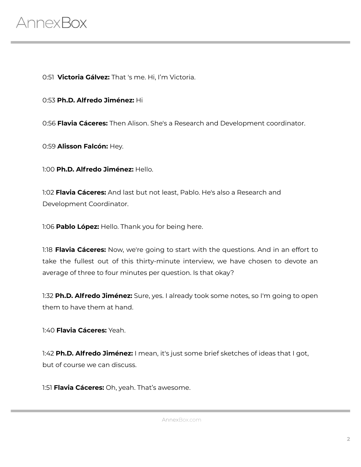0:51 **Victoria Gálvez:** That 's me. Hi, I'm Victoria.

0:53 **Ph.D. Alfredo Jiménez:** Hi

0:56 **Flavia Cáceres:** Then Alison. She's a Research and Development coordinator.

0:59 **Alisson Falcón:** Hey.

1:00 **Ph.D. Alfredo Jiménez:** Hello.

1:02 **Flavia Cáceres:** And last but not least, Pablo. He's also a Research and Development Coordinator.

1:06 **Pablo López:** Hello. Thank you for being here.

1:18 **Flavia Cáceres:** Now, we're going to start with the questions. And in an effort to take the fullest out of this thirty-minute interview, we have chosen to devote an average of three to four minutes per question. Is that okay?

1:32 **Ph.D. Alfredo Jiménez:** Sure, yes. I already took some notes, so I'm going to open them to have them at hand.

1:40 **Flavia Cáceres:** Yeah.

1:42 **Ph.D. Alfredo Jiménez:** I mean, it's just some brief sketches of ideas that I got, but of course we can discuss.

1:51 **Flavia Cáceres:** Oh, yeah. That's awesome.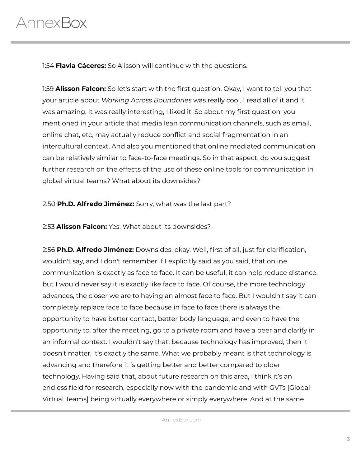1:54 **Flavia Cáceres:** So Alisson will continue with the questions.

1:59 **Alisson Falcon:** So let's start with the first question. Okay, I want to tell you that your article about *Working Across Boundaries* was really cool. I read all of it and it was amazing. It was really interesting, I liked it. So about my first question, you mentioned in your article that media lean communication channels, such as email, online chat, etc, may actually reduce conflict and social fragmentation in an intercultural context. And also you mentioned that online mediated communication can be relatively similar to face-to-face meetings. So in that aspect, do you suggest further research on the effects of the use of these online tools for communication in global virtual teams? What about its downsides?

2:50 **Ph.D. Alfredo Jiménez:** Sorry, what was the last part?

2:53 **Alisson Falcon:** Yes. What about its downsides?

2:56 **Ph.D. Alfredo Jiménez:** Downsides, okay. Well, first of all, just for clarification, I wouldn't say, and I don't remember if I explicitly said as you said, that online communication is exactly as face to face. It can be useful, it can help reduce distance, but I would never say it is exactly like face to face. Of course, the more technology advances, the closer we are to having an almost face to face. But I wouldn't say it can completely replace face to face because in face to face there is always the opportunity to have better contact, better body language, and even to have the opportunity to, after the meeting, go to a private room and have a beer and clarify in an informal context. I wouldn't say that, because technology has improved, then it doesn't matter, it's exactly the same. What we probably meant is that technology is advancing and therefore it is getting better and better compared to older technology. Having said that, about future research on this area, I think it's an endless field for research, especially now with the pandemic and with GVTs [Global Virtual Teams] being virtually everywhere or simply everywhere. And at the same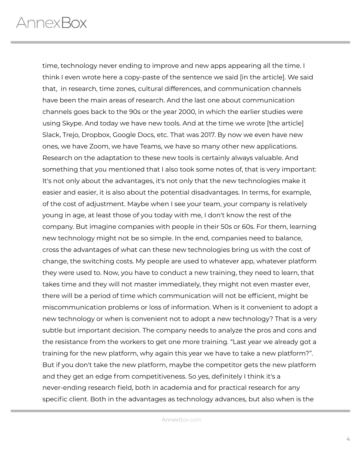time, technology never ending to improve and new apps appearing all the time. I think I even wrote here a copy-paste of the sentence we said [in the article]. We said that, in research, time zones, cultural differences, and communication channels have been the main areas of research. And the last one about communication channels goes back to the 90s or the year 2000, in which the earlier studies were using Skype. And today we have new tools. And at the time we wrote [the article] Slack, Trejo, Dropbox, Google Docs, etc. That was 2017. By now we even have new ones, we have Zoom, we have Teams, we have so many other new applications. Research on the adaptation to these new tools is certainly always valuable. And something that you mentioned that I also took some notes of, that is very important: It's not only about the advantages, it's not only that the new technologies make it easier and easier, it is also about the potential disadvantages. In terms, for example, of the cost of adjustment. Maybe when I see your team, your company is relatively young in age, at least those of you today with me, I don't know the rest of the company. But imagine companies with people in their 50s or 60s. For them, learning new technology might not be so simple. In the end, companies need to balance, cross the advantages of what can these new technologies bring us with the cost of change, the switching costs. My people are used to whatever app, whatever platform they were used to. Now, you have to conduct a new training, they need to learn, that takes time and they will not master immediately, they might not even master ever, there will be a period of time which communication will not be efficient, might be miscommunication problems or loss of information. When is it convenient to adopt a new technology or when is convenient not to adopt a new technology? That is a very subtle but important decision. The company needs to analyze the pros and cons and the resistance from the workers to get one more training. "Last year we already got a training for the new platform, why again this year we have to take a new platform?". But if you don't take the new platform, maybe the competitor gets the new platform and they get an edge from competitiveness. So yes, definitely I think it's a never-ending research field, both in academia and for practical research for any specific client. Both in the advantages as technology advances, but also when is the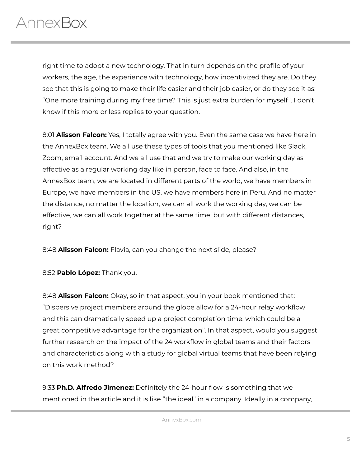right time to adopt a new technology. That in turn depends on the profile of your workers, the age, the experience with technology, how incentivized they are. Do they see that this is going to make their life easier and their job easier, or do they see it as: "One more training during my free time? This is just extra burden for myself". I don't know if this more or less replies to your question.

8:01 **Alisson Falcon:** Yes, I totally agree with you. Even the same case we have here in the AnnexBox team. We all use these types of tools that you mentioned like Slack, Zoom, email account. And we all use that and we try to make our working day as effective as a regular working day like in person, face to face. And also, in the AnnexBox team, we are located in different parts of the world, we have members in Europe, we have members in the US, we have members here in Peru. And no matter the distance, no matter the location, we can all work the working day, we can be effective, we can all work together at the same time, but with different distances, right?

8:48 **Alisson Falcon:** Flavia, can you change the next slide, please?—

8:52 **Pablo López:** Thank you.

8:48 **Alisson Falcon:** Okay, so in that aspect, you in your book mentioned that: "Dispersive project members around the globe allow for a 24-hour relay workflow and this can dramatically speed up a project completion time, which could be a great competitive advantage for the organization". In that aspect, would you suggest further research on the impact of the 24 workflow in global teams and their factors and characteristics along with a study for global virtual teams that have been relying on this work method?

9:33 **Ph.D. Alfredo Jimenez:** Definitely the 24-hour flow is something that we mentioned in the article and it is like "the ideal" in a company. Ideally in a company,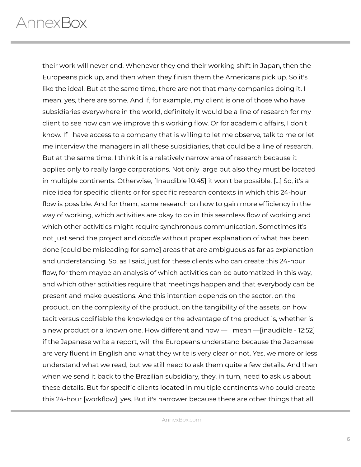their work will never end. Whenever they end their working shift in Japan, then the Europeans pick up, and then when they finish them the Americans pick up. So it's like the ideal. But at the same time, there are not that many companies doing it. I mean, yes, there are some. And if, for example, my client is one of those who have subsidiaries everywhere in the world, definitely it would be a line of research for my client to see how can we improve this working flow. Or for academic affairs, I don't know. If I have access to a company that is willing to let me observe, talk to me or let me interview the managers in all these subsidiaries, that could be a line of research. But at the same time, I think it is a relatively narrow area of research because it applies only to really large corporations. Not only large but also they must be located in multiple continents. Otherwise, [Inaudible 10:45] it won't be possible. [...] So, it's a nice idea for specific clients or for specific research contexts in which this 24-hour flow is possible. And for them, some research on how to gain more efficiency in the way of working, which activities are okay to do in this seamless flow of working and which other activities might require synchronous communication. Sometimes it's not just send the project and *doodle* without proper explanation of what has been done [could be misleading for some] areas that are ambiguous as far as explanation and understanding. So, as I said, just for these clients who can create this 24-hour flow, for them maybe an analysis of which activities can be automatized in this way, and which other activities require that meetings happen and that everybody can be present and make questions. And this intention depends on the sector, on the product, on the complexity of the product, on the tangibility of the assets, on how tacit versus codifiable the knowledge or the advantage of the product is, whether is a new product or a known one. How different and how — I mean —[inaudible - 12:52] if the Japanese write a report, will the Europeans understand because the Japanese are very fluent in English and what they write is very clear or not. Yes, we more or less understand what we read, but we still need to ask them quite a few details. And then when we send it back to the Brazilian subsidiary, they, in turn, need to ask us about these details. But for specific clients located in multiple continents who could create this 24-hour [workflow], yes. But it's narrower because there are other things that all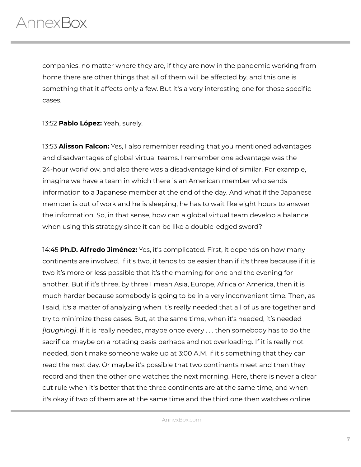companies, no matter where they are, if they are now in the pandemic working from home there are other things that all of them will be affected by, and this one is something that it affects only a few. But it's a very interesting one for those specific cases.

13:52 **Pablo López:** Yeah, surely.

13:53 **Alisson Falcon:** Yes, I also remember reading that you mentioned advantages and disadvantages of global virtual teams. I remember one advantage was the 24-hour workflow, and also there was a disadvantage kind of similar. For example, imagine we have a team in which there is an American member who sends information to a Japanese member at the end of the day. And what if the Japanese member is out of work and he is sleeping, he has to wait like eight hours to answer the information. So, in that sense, how can a global virtual team develop a balance when using this strategy since it can be like a double-edged sword?

14:45 **Ph.D. Alfredo Jiménez:** Yes, it's complicated. First, it depends on how many continents are involved. If it's two, it tends to be easier than if it's three because if it is two it's more or less possible that it's the morning for one and the evening for another. But if it's three, by three I mean Asia, Europe, Africa or America, then it is much harder because somebody is going to be in a very inconvenient time. Then, as I said, it's a matter of analyzing when it's really needed that all of us are together and try to minimize those cases. But, at the same time, when it's needed, it's needed *[laughing]*. If it is really needed, maybe once every . . . then somebody has to do the sacrifice, maybe on a rotating basis perhaps and not overloading. If it is really not needed, don't make someone wake up at 3:00 A.M. if it's something that they can read the next day. Or maybe it's possible that two continents meet and then they record and then the other one watches the next morning. Here, there is never a clear cut rule when it's better that the three continents are at the same time, and when it's okay if two of them are at the same time and the third one then watches online.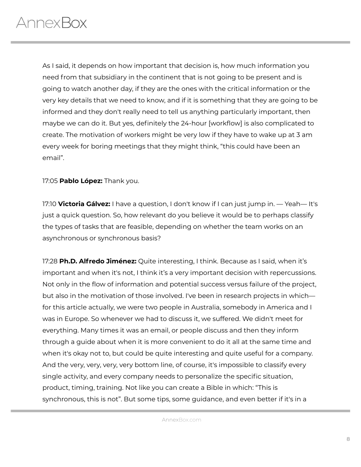As I said, it depends on how important that decision is, how much information you need from that subsidiary in the continent that is not going to be present and is going to watch another day, if they are the ones with the critical information or the very key details that we need to know, and if it is something that they are going to be informed and they don't really need to tell us anything particularly important, then maybe we can do it. But yes, definitely the 24-hour [workflow] is also complicated to create. The motivation of workers might be very low if they have to wake up at 3 am every week for boring meetings that they might think, "this could have been an email".

17:05 **Pablo López:** Thank you.

17:10 **Victoria Gálvez:** I have a question, I don't know if I can just jump in. — Yeah— It's just a quick question. So, how relevant do you believe it would be to perhaps classify the types of tasks that are feasible, depending on whether the team works on an asynchronous or synchronous basis?

17:28 **Ph.D. Alfredo Jiménez:** Quite interesting, I think. Because as I said, when it's important and when it's not, I think it's a very important decision with repercussions. Not only in the flow of information and potential success versus failure of the project, but also in the motivation of those involved. I've been in research projects in which for this article actually, we were two people in Australia, somebody in America and I was in Europe. So whenever we had to discuss it, we suffered. We didn't meet for everything. Many times it was an email, or people discuss and then they inform through a guide about when it is more convenient to do it all at the same time and when it's okay not to, but could be quite interesting and quite useful for a company. And the very, very, very, very bottom line, of course, it's impossible to classify every single activity, and every company needs to personalize the specific situation, product, timing, training. Not like you can create a Bible in which: "This is synchronous, this is not". But some tips, some guidance, and even better if it's in a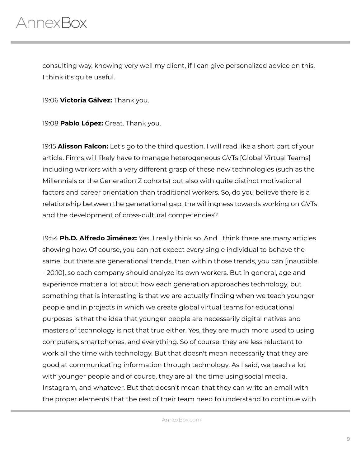consulting way, knowing very well my client, if I can give personalized advice on this. I think it's quite useful.

19:06 **Victoria Gálvez:** Thank you.

19:08 **Pablo López:** Great. Thank you.

19:15 **Alisson Falcon:** Let's go to the third question. I will read like a short part of your article. Firms will likely have to manage heterogeneous GVTs [Global Virtual Teams] including workers with a very different grasp of these new technologies (such as the Millennials or the Generation Z cohorts) but also with quite distinct motivational factors and career orientation than traditional workers. So, do you believe there is a relationship between the generational gap, the willingness towards working on GVTs and the development of cross-cultural competencies?

19:54 **Ph.D. Alfredo Jiménez:** Yes, I really think so. And I think there are many articles showing how. Of course, you can not expect every single individual to behave the same, but there are generational trends, then within those trends, you can [inaudible - 20:10], so each company should analyze its own workers. But in general, age and experience matter a lot about how each generation approaches technology, but something that is interesting is that we are actually finding when we teach younger people and in projects in which we create global virtual teams for educational purposes is that the idea that younger people are necessarily digital natives and masters of technology is not that true either. Yes, they are much more used to using computers, smartphones, and everything. So of course, they are less reluctant to work all the time with technology. But that doesn't mean necessarily that they are good at communicating information through technology. As I said, we teach a lot with younger people and of course, they are all the time using social media, Instagram, and whatever. But that doesn't mean that they can write an email with the proper elements that the rest of their team need to understand to continue with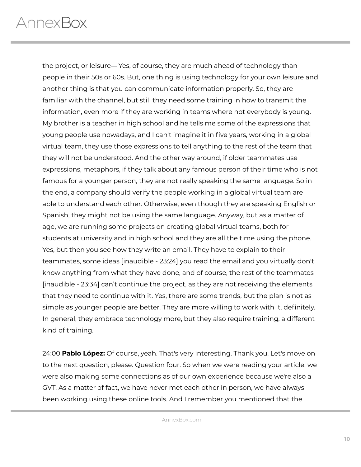the project, or leisure— Yes, of course, they are much ahead of technology than people in their 50s or 60s. But, one thing is using technology for your own leisure and another thing is that you can communicate information properly. So, they are familiar with the channel, but still they need some training in how to transmit the information, even more if they are working in teams where not everybody is young. My brother is a teacher in high school and he tells me some of the expressions that young people use nowadays, and I can't imagine it in five years, working in a global virtual team, they use those expressions to tell anything to the rest of the team that they will not be understood. And the other way around, if older teammates use expressions, metaphors, if they talk about any famous person of their time who is not famous for a younger person, they are not really speaking the same language. So in the end, a company should verify the people working in a global virtual team are able to understand each other. Otherwise, even though they are speaking English or Spanish, they might not be using the same language. Anyway, but as a matter of age, we are running some projects on creating global virtual teams, both for students at university and in high school and they are all the time using the phone. Yes, but then you see how they write an email. They have to explain to their teammates, some ideas [inaudible - 23:24] you read the email and you virtually don't know anything from what they have done, and of course, the rest of the teammates [inaudible - 23:34] can't continue the project, as they are not receiving the elements that they need to continue with it. Yes, there are some trends, but the plan is not as simple as younger people are better. They are more willing to work with it, definitely. In general, they embrace technology more, but they also require training, a different kind of training.

24:00 **Pablo López:** Of course, yeah. That's very interesting. Thank you. Let's move on to the next question, please. Question four. So when we were reading your article, we were also making some connections as of our own experience because we're also a GVT. As a matter of fact, we have never met each other in person, we have always been working using these online tools. And I remember you mentioned that the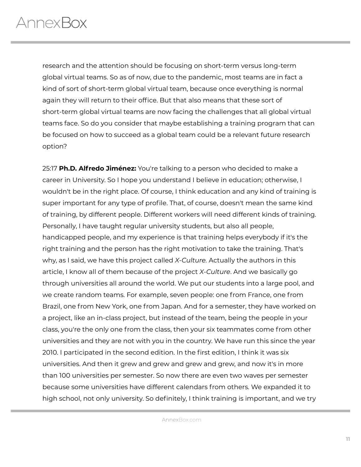research and the attention should be focusing on short-term versus long-term global virtual teams. So as of now, due to the pandemic, most teams are in fact a kind of sort of short-term global virtual team, because once everything is normal again they will return to their office. But that also means that these sort of short-term global virtual teams are now facing the challenges that all global virtual teams face. So do you consider that maybe establishing a training program that can be focused on how to succeed as a global team could be a relevant future research option?

25:17 **Ph.D. Alfredo Jiménez:** You're talking to a person who decided to make a career in University. So I hope you understand I believe in education; otherwise, I wouldn't be in the right place. Of course, I think education and any kind of training is super important for any type of profile. That, of course, doesn't mean the same kind of training, by different people. Different workers will need different kinds of training. Personally, I have taught regular university students, but also all people, handicapped people, and my experience is that training helps everybody if it's the right training and the person has the right motivation to take the training. That's why, as I said, we have this project called *X-Culture.* Actually the authors in this article, I know all of them because of the project *X-Culture*. And we basically go through universities all around the world. We put our students into a large pool, and we create random teams. For example, seven people: one from France, one from Brazil, one from New York, one from Japan. And for a semester, they have worked on a project, like an in-class project, but instead of the team, being the people in your class, you're the only one from the class, then your six teammates come from other universities and they are not with you in the country. We have run this since the year 2010. I participated in the second edition. In the first edition, I think it was six universities. And then it grew and grew and grew and grew, and now it's in more than 100 universities per semester. So now there are even two waves per semester because some universities have different calendars from others. We expanded it to high school, not only university. So definitely, I think training is important, and we try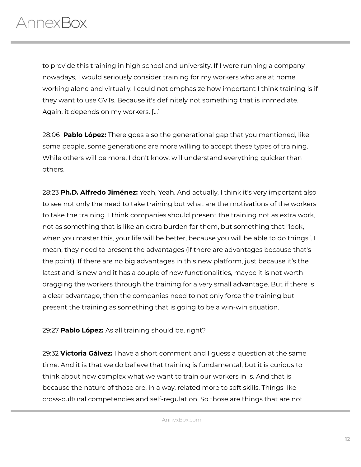to provide this training in high school and university. If I were running a company nowadays, I would seriously consider training for my workers who are at home working alone and virtually. I could not emphasize how important I think training is if they want to use GVTs. Because it's definitely not something that is immediate. Again, it depends on my workers. [...]

28:06 **Pablo López:** There goes also the generational gap that you mentioned, like some people, some generations are more willing to accept these types of training. While others will be more, I don't know, will understand everything quicker than others.

28:23 **Ph.D. Alfredo Jiménez:** Yeah, Yeah. And actually, I think it's very important also to see not only the need to take training but what are the motivations of the workers to take the training. I think companies should present the training not as extra work, not as something that is like an extra burden for them, but something that "look, when you master this, your life will be better, because you will be able to do things". I mean, they need to present the advantages (if there are advantages because that's the point). If there are no big advantages in this new platform, just because it's the latest and is new and it has a couple of new functionalities, maybe it is not worth dragging the workers through the training for a very small advantage. But if there is a clear advantage, then the companies need to not only force the training but present the training as something that is going to be a win-win situation.

29:27 **Pablo López:** As all training should be, right?

29:32 **Victoria Gálvez:** I have a short comment and I guess a question at the same time. And it is that we do believe that training is fundamental, but it is curious to think about how complex what we want to train our workers in is. And that is because the nature of those are, in a way, related more to soft skills. Things like cross-cultural competencies and self-regulation. So those are things that are not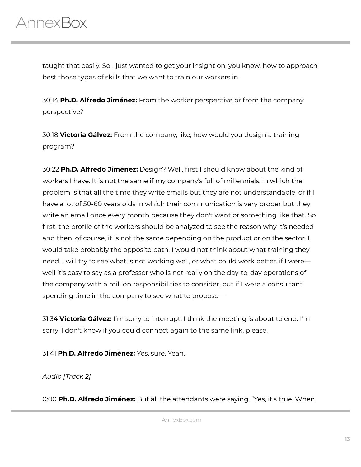

taught that easily. So I just wanted to get your insight on, you know, how to approach best those types of skills that we want to train our workers in.

30:14 **Ph.D. Alfredo Jiménez:** From the worker perspective or from the company perspective?

30:18 **Victoria Gálvez:** From the company, like, how would you design a training program?

30:22 **Ph.D. Alfredo Jiménez:** Design? Well, first I should know about the kind of workers I have. It is not the same if my company's full of millennials, in which the problem is that all the time they write emails but they are not understandable, or if I have a lot of 50-60 years olds in which their communication is very proper but they write an email once every month because they don't want or something like that. So first, the profile of the workers should be analyzed to see the reason why it's needed and then, of course, it is not the same depending on the product or on the sector. I would take probably the opposite path, I would not think about what training they need. I will try to see what is not working well, or what could work better. if I were well it's easy to say as a professor who is not really on the day-to-day operations of the company with a million responsibilities to consider, but if I were a consultant spending time in the company to see what to propose—

31:34 **Victoria Gálvez:** I'm sorry to interrupt. I think the meeting is about to end. I'm sorry. I don't know if you could connect again to the same link, please.

31:41 **Ph.D. Alfredo Jiménez:** Yes, sure. Yeah.

*Audio [Track 2]*

0:00 **Ph.D. Alfredo Jiménez:** But all the attendants were saying, "Yes, it's true. When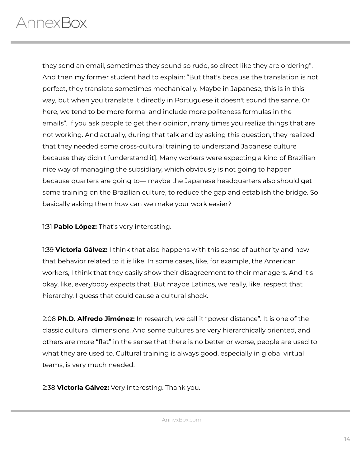they send an email, sometimes they sound so rude, so direct like they are ordering". And then my former student had to explain: "But that's because the translation is not perfect, they translate sometimes mechanically. Maybe in Japanese, this is in this way, but when you translate it directly in Portuguese it doesn't sound the same. Or here, we tend to be more formal and include more politeness formulas in the emails". If you ask people to get their opinion, many times you realize things that are not working. And actually, during that talk and by asking this question, they realized that they needed some cross-cultural training to understand Japanese culture because they didn't [understand it]. Many workers were expecting a kind of Brazilian nice way of managing the subsidiary, which obviously is not going to happen because quarters are going to— maybe the Japanese headquarters also should get some training on the Brazilian culture, to reduce the gap and establish the bridge. So basically asking them how can we make your work easier?

1:31 **Pablo López:** That's very interesting.

1:39 **Victoria Gálvez:** I think that also happens with this sense of authority and how that behavior related to it is like. In some cases, like, for example, the American workers, I think that they easily show their disagreement to their managers. And it's okay, like, everybody expects that. But maybe Latinos, we really, like, respect that hierarchy. I guess that could cause a cultural shock.

2:08 **Ph.D. Alfredo Jiménez:** In research, we call it "power distance". It is one of the classic cultural dimensions. And some cultures are very hierarchically oriented, and others are more "flat" in the sense that there is no better or worse, people are used to what they are used to. Cultural training is always good, especially in global virtual teams, is very much needed.

2:38 **Victoria Gálvez:** Very interesting. Thank you.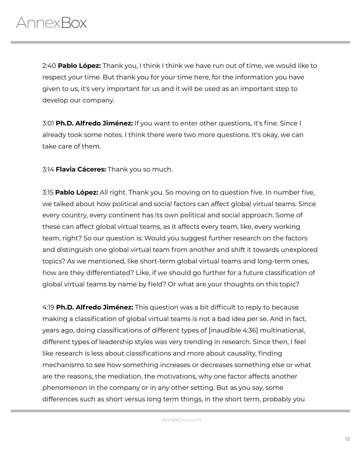2:40 **Pablo López:** Thank you, I think I think we have run out of time, we would like to respect your time. But thank you for your time here, for the information you have given to us, it's very important for us and it will be used as an important step to develop our company.

3:01 **Ph.D. Alfredo Jiménez:** If you want to enter other questions, it's fine. Since I already took some notes. I think there were two more questions. It's okay, we can take care of them.

3:14 **Flavia Cáceres:** Thank you so much.

3:15 **Pablo López:** All right. Thank you. So moving on to question five. In number five, we talked about how political and social factors can affect global virtual teams. Since every country, every continent has its own political and social approach. Some of these can affect global virtual teams, as it affects every team, like, every working team, right? So our question is: Would you suggest further research on the factors and distinguish one global virtual team from another and shift it towards unexplored topics? As we mentioned, like short-term global virtual teams and long-term ones, how are they differentiated? Like, if we should go further for a future classification of global virtual teams by name by field? Or what are your thoughts on this topic?

4:19 **Ph.D. Alfredo Jiménez:** This question was a bit difficult to reply to because making a classification of global virtual teams is not a bad idea per se. And in fact, years ago, doing classifications of different types of [inaudible 4:36] multinational, different types of leadership styles was very trending in research. Since then, I feel like research is less about classifications and more about causality, finding mechanisms to see how something increases or decreases something else or what are the reasons, the mediation, the motivations, why one factor affects another phenomenon in the company or in any other setting. But as you say, some differences such as short versus long term things, in the short term, probably you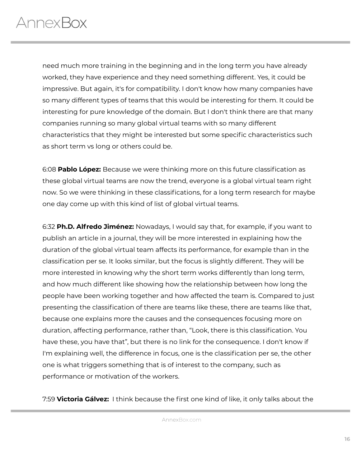need much more training in the beginning and in the long term you have already worked, they have experience and they need something different. Yes, it could be impressive. But again, it's for compatibility. I don't know how many companies have so many different types of teams that this would be interesting for them. It could be interesting for pure knowledge of the domain. But I don't think there are that many companies running so many global virtual teams with so many different characteristics that they might be interested but some specific characteristics such as short term vs long or others could be.

6:08 **Pablo López:** Because we were thinking more on this future classification as these global virtual teams are now the trend, everyone is a global virtual team right now. So we were thinking in these classifications, for a long term research for maybe one day come up with this kind of list of global virtual teams.

6:32 **Ph.D. Alfredo Jiménez:** Nowadays, I would say that, for example, if you want to publish an article in a journal, they will be more interested in explaining how the duration of the global virtual team affects its performance, for example than in the classification per se. It looks similar, but the focus is slightly different. They will be more interested in knowing why the short term works differently than long term, and how much different like showing how the relationship between how long the people have been working together and how affected the team is. Compared to just presenting the classification of there are teams like these, there are teams like that, because one explains more the causes and the consequences focusing more on duration, affecting performance, rather than, "Look, there is this classification. You have these, you have that", but there is no link for the consequence. I don't know if I'm explaining well, the difference in focus, one is the classification per se, the other one is what triggers something that is of interest to the company, such as performance or motivation of the workers.

7:59 **Victoria Gálvez:** I think because the first one kind of like, it only talks about the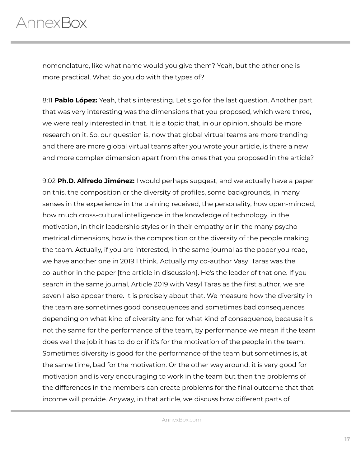nomenclature, like what name would you give them? Yeah, but the other one is more practical. What do you do with the types of?

8:11 **Pablo López:** Yeah, that's interesting. Let's go for the last question. Another part that was very interesting was the dimensions that you proposed, which were three, we were really interested in that. It is a topic that, in our opinion, should be more research on it. So, our question is, now that global virtual teams are more trending and there are more global virtual teams after you wrote your article, is there a new and more complex dimension apart from the ones that you proposed in the article?

9:02 **Ph.D. Alfredo Jiménez:** I would perhaps suggest, and we actually have a paper on this, the composition or the diversity of profiles, some backgrounds, in many senses in the experience in the training received, the personality, how open-minded, how much cross-cultural intelligence in the knowledge of technology, in the motivation, in their leadership styles or in their empathy or in the many psycho metrical dimensions, how is the composition or the diversity of the people making the team. Actually, if you are interested, in the same journal as the paper you read, we have another one in 2019 I think. Actually my co-author Vasyl Taras was the co-author in the paper [the article in discussion]. He's the leader of that one. If you search in the same journal, Article 2019 with Vasyl Taras as the first author, we are seven I also appear there. It is precisely about that. We measure how the diversity in the team are sometimes good consequences and sometimes bad consequences depending on what kind of diversity and for what kind of consequence, because it's not the same for the performance of the team, by performance we mean if the team does well the job it has to do or if it's for the motivation of the people in the team. Sometimes diversity is good for the performance of the team but sometimes is, at the same time, bad for the motivation. Or the other way around, it is very good for motivation and is very encouraging to work in the team but then the problems of the differences in the members can create problems for the final outcome that that income will provide. Anyway, in that article, we discuss how different parts of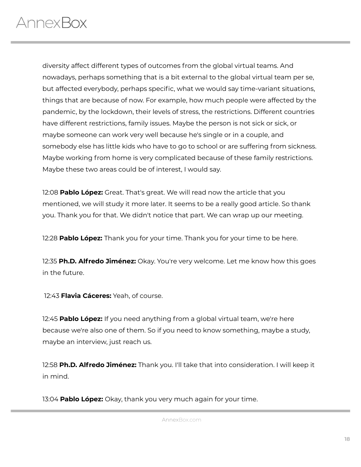diversity affect different types of outcomes from the global virtual teams. And nowadays, perhaps something that is a bit external to the global virtual team per se, but affected everybody, perhaps specific, what we would say time-variant situations, things that are because of now. For example, how much people were affected by the pandemic, by the lockdown, their levels of stress, the restrictions. Different countries have different restrictions, family issues. Maybe the person is not sick or sick, or maybe someone can work very well because he's single or in a couple, and somebody else has little kids who have to go to school or are suffering from sickness. Maybe working from home is very complicated because of these family restrictions. Maybe these two areas could be of interest, I would say.

12:08 **Pablo López:** Great. That's great. We will read now the article that you mentioned, we will study it more later. It seems to be a really good article. So thank you. Thank you for that. We didn't notice that part. We can wrap up our meeting.

12:28 **Pablo López:** Thank you for your time. Thank you for your time to be here.

12:35 **Ph.D. Alfredo Jiménez:** Okay. You're very welcome. Let me know how this goes in the future.

12:43 **Flavia Cáceres:** Yeah, of course.

12:45 **Pablo López:** If you need anything from a global virtual team, we're here because we're also one of them. So if you need to know something, maybe a study, maybe an interview, just reach us.

12:58 **Ph.D. Alfredo Jiménez:** Thank you. I'll take that into consideration. I will keep it in mind.

13:04 **Pablo López:** Okay, thank you very much again for your time.